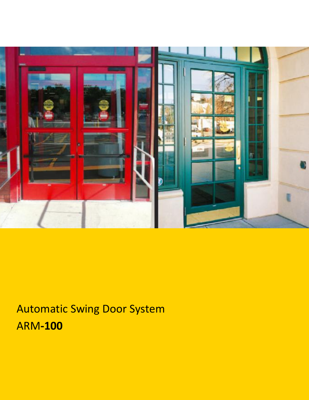

# Automatic Swing Door System ARM**-100**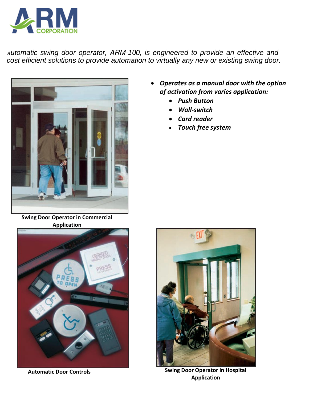

*Automatic swing door operator, ARM-100, is engineered to provide an effective and cost efficient solutions to provide automation to virtually any new or existing swing door.* 



 *Operates as a manual door with the option of activation from varies application:*

- *Push Button*
- *Wall-switch*
- *Card reader*
- *Touch free system*

**Swing Door Operator in Commercial Application** 





**Automatic Door Controls Swing Door Operator in Hospital Application**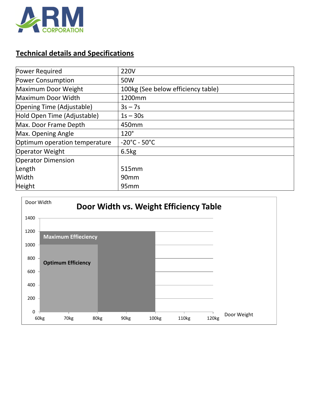

### **Technical details and Specifications**

| Power Required                | <b>220V</b>                        |
|-------------------------------|------------------------------------|
| <b>Power Consumption</b>      | 50W                                |
| Maximum Door Weight           | 100kg (See below efficiency table) |
| Maximum Door Width            | 1200mm                             |
| Opening Time (Adjustable)     | $3s - 7s$                          |
| Hold Open Time (Adjustable)   | $1s - 30s$                         |
| Max. Door Frame Depth         | 450mm                              |
| Max. Opening Angle            | $120^\circ$                        |
| Optimum operation temperature | $-20^{\circ}$ C - 50 $^{\circ}$ C  |
| <b>Operator Weight</b>        | 6.5kg                              |
| <b>Operator Dimension</b>     |                                    |
| Length                        | 515 <sub>mm</sub>                  |
| Width                         | 90 <sub>mm</sub>                   |
| Height                        | 95 <sub>mm</sub>                   |

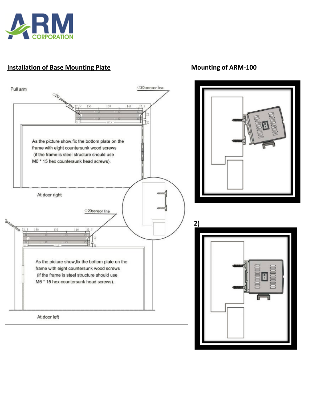

#### **Installation of Base Mounting Plate MOUNTING MOUNTING MOUNTING OF ARM-100**

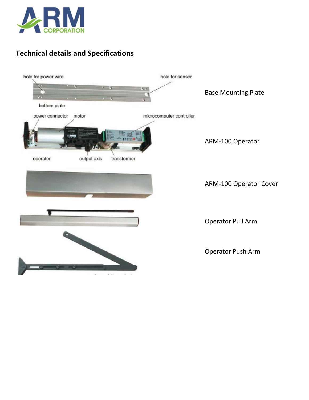

## **Technical details and Specifications**